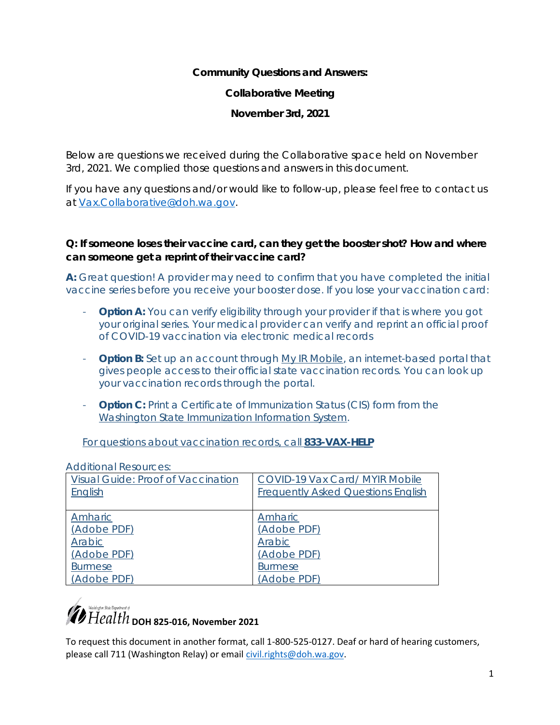**Community Questions and Answers: Collaborative Meeting November 3rd, 2021** 

Below are questions we received during the Collaborative space held on November 3rd, 2021. We complied those questions and answers in this document.

If you have any questions and/or would like to follow-up, please feel free to contact us at [Vax.Collaborative@doh.wa.gov.](mailto:Vax.Collaborative@doh.wa.gov)

**Q: If someone loses their vaccine card, can they get the booster shot? How and where can someone get a reprint of their vaccine card?** 

**A:** Great question! A provider may need to confirm that you have completed the initial vaccine series before you receive your booster dose. If you lose your vaccination card:

- **Option A:** You can verify eligibility through your provider if that is where you got your original series. Your medical provider can verify and reprint an official proof of COVID-19 vaccination via electronic medical records
- **Option B:** Set up an account through [My IR Mobile,](http://www.myirmobile.com/) an internet-based portal that gives people access to their official state vaccination records. You can look up your vaccination records through the portal.
- **Option C:** Print a Certificate of Immunization Status (CIS) form from the [Washington State Immunization Information System.](https://www.doh.wa.gov/ForPublicHealthandHealthcareProviders/HealthcareProfessionsandFacilities/DataReportingandRetrieval/ImmunizationInformationSystem)

For questions about vaccination records, call **833-VAX-HELP**

| AUUILIUHAI NESUULUES.              |                                           |
|------------------------------------|-------------------------------------------|
| Visual Guide: Proof of Vaccination | COVID-19 Vax Card/ MYIR Mobile            |
| English                            | <b>Frequently Asked Questions English</b> |
|                                    |                                           |
| Amharic                            | Amharic                                   |
| (Adobe PDF)                        | (Adobe PDF)                               |
| Arabic                             | Arabic                                    |
| (Adobe PDF)                        | (Adobe PDF)                               |
| <b>Burmese</b>                     | <b>Burmese</b>                            |
| (Adobe PDF)                        | (Adobe PDF)                               |

Additional Resources:

### $\mathcal{P}_{Health}^{\text{National data}}$   $\overline{H}$   $\overline{e}$   $all$   $th$   $_{\text{DOH}}$  825-016, November 2021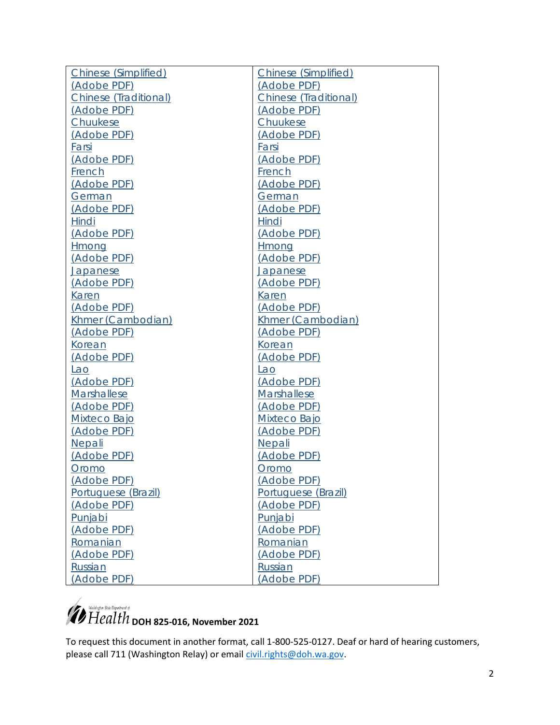| Chinese (Simplified)  | Chinese (Simplified)  |
|-----------------------|-----------------------|
| (Adobe PDF)           | (Adobe PDF)           |
| Chinese (Traditional) | Chinese (Traditional) |
| (Adobe PDF)           | (Adobe PDF)           |
| Chuukese              | Chuukese              |
| (Adobe PDF)           | (Adobe PDF)           |
| Farsi                 | Farsi                 |
| (Adobe PDF)           | (Adobe PDF)           |
| <b>French</b>         | <b>French</b>         |
| (Adobe PDF)           | (Adobe PDF)           |
| <b>German</b>         | German                |
| (Adobe PDF)           | (Adobe PDF)           |
| Hindi                 | Hindi                 |
| <u>(Adobe PDF)</u>    | <u>(Adobe PDF)</u>    |
| Hmong                 | Hmong                 |
| <u>(Adobe PDF)</u>    | (Adobe PDF)           |
| <u>Japanese</u>       | <u>Japanese</u>       |
| (Adobe PDF)           | <u>(Adobe PDF)</u>    |
| <b>Karen</b>          | Karen                 |
| (Adobe PDF)           | (Adobe PDF)           |
| Khmer (Cambodian)     | Khmer (Cambodian)     |
| (Adobe PDF)           | (Adobe PDF)           |
| <b>Korean</b>         | <b>Korean</b>         |
| (Adobe PDF)           | (Adobe PDF)           |
| <u>Lao</u>            | <u>Lao</u>            |
| (Adobe PDF)           | (Adobe PDF)           |
| Marshallese           | Marshallese           |
| (Adobe PDF)           | (Adobe PDF)           |
| Mixteco Bajo          | Mixteco Bajo          |
| (Adobe PDF)           | (Adobe PDF)           |
| Nepali                | Nepali                |
| (Adobe PDF)           | (Adobe PDF)           |
| Oromo                 | Oromo                 |
| (Adobe PDF)           | (Adobe PDF)           |
| Portuguese (Brazil)   | Portuguese (Brazil)   |
| (Adobe PDF)           | (Adobe PDF)           |
| Punjabi               | Punjabi               |
| (Adobe PDF)           | (Adobe PDF)           |
| Romanian              | Romanian              |
| (Adobe PDF)           | (Adobe PDF)           |
| Russian               | Russian               |
| (Adobe PDF)           | (Adobe PDF)           |

# *D* Health <sub>DOH</sub> 825-016, November 2021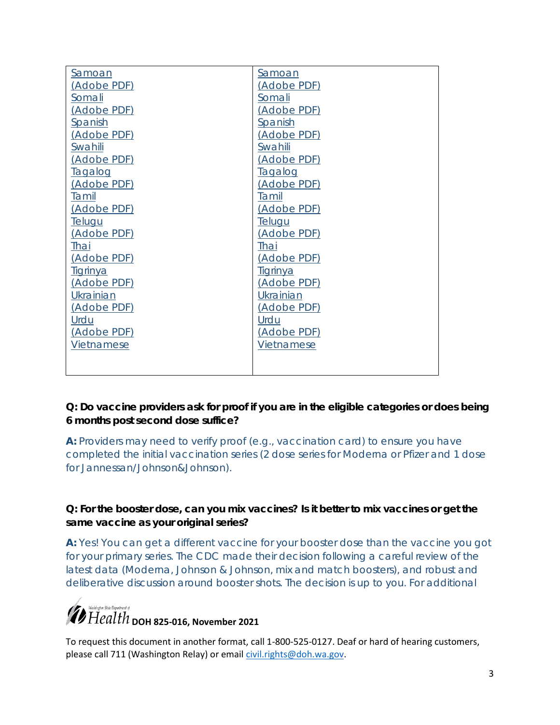| Samoan          | Samoan          |
|-----------------|-----------------|
| (Adobe PDF)     | (Adobe PDF)     |
| Somali          | Somali          |
| (Adobe PDF)     | (Adobe PDF)     |
| <b>Spanish</b>  | Spanish         |
| (Adobe PDF)     | (Adobe PDF)     |
| Swahili         | Swahili         |
| (Adobe PDF)     | (Adobe PDF)     |
| <u>Taqaloq</u>  | <b>Tagalog</b>  |
| (Adobe PDF)     | (Adobe PDF)     |
| <b>Tamil</b>    | Tamil           |
| (Adobe PDF)     | (Adobe PDF)     |
| <b>Telugu</b>   | <u>Teluqu</u>   |
| (Adobe PDF)     | (Adobe PDF)     |
| Thai            | Thai            |
| (Adobe PDF)     | (Adobe PDF)     |
| <u>Tigrinya</u> | <u>Tigrinya</u> |
| (Adobe PDF)     | (Adobe PDF)     |
| Ukrainian       | Ukrainian       |
| (Adobe PDF)     | (Adobe PDF)     |
| Urdu            | Urdu            |
| (Adobe PDF)     | (Adobe PDF)     |
| Vietnamese      | Vietnamese      |
|                 |                 |
|                 |                 |

**Q: Do vaccine providers ask for proof if you are in the eligible categories or does being 6 months post second dose suffice?**

**A:** Providers may need to verify proof (e.g., vaccination card) to ensure you have completed the initial vaccination series (2 dose series for Moderna or Pfizer and 1 dose for Jannessan/Johnson&Johnson).

**Q: For the booster dose, can you mix vaccines? Is it better to mix vaccines or get the same vaccine as your original series?** 

**A:** Yes! You can get a different vaccine for your booster dose than the vaccine you got for your primary series. The CDC made their decision following a careful review of the latest data (Moderna, Johnson & Johnson, mix and match boosters), and robust and deliberative discussion around booster shots. The decision is up to you. For additional

## *D* Health <sub>DOH</sub> 825-016, November 2021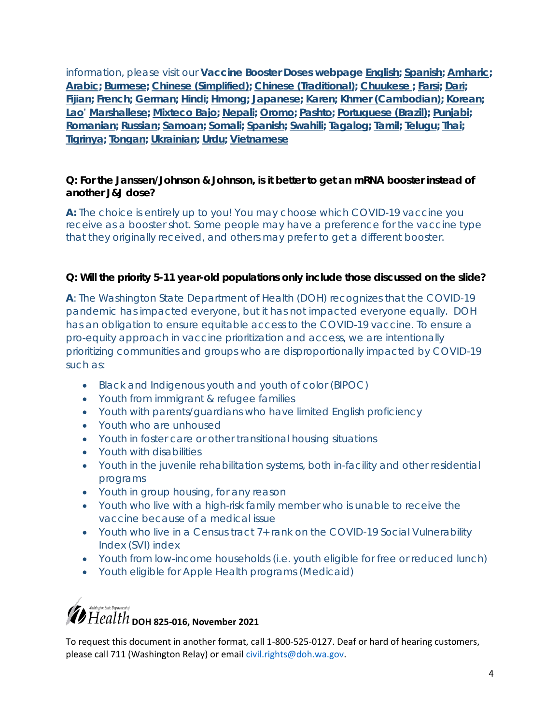information, please visit our **Vaccine Booster Doses webpage [English;](https://www.doh.wa.gov/Emergencies/COVID19/VaccineInformation/VaccineBoosterDoses#heading103658) [Spanish;](https://www.doh.wa.gov/Emergencies/COVID19/VaccineInformation/Vacunacontraelcoronavirus/Dosisderefuerzodelavacuna) [Amharic;](https://gcc02.safelinks.protection.outlook.com/?url=https%3A%2F%2Fwww.doh.wa.gov%2FEmergencies%2FCOVID19%2FVaccineInformation%2FVaccineBoosterDoses%2FAmharic&data=04%7C01%7Cfathiya.abdi%40doh.wa.gov%7C18166e928dee494b7ee308d99ae96afc%7C11d0e217264e400a8ba057dcc127d72d%7C0%7C0%7C637711149572578844%7CUnknown%7CTWFpbGZsb3d8eyJWIjoiMC4wLjAwMDAiLCJQIjoiV2luMzIiLCJBTiI6Ik1haWwiLCJXVCI6Mn0%3D%7C1000&sdata=XpIxszsMojaZoswG3FFyRbMJxZ17%2F6iGjQG9GcZmEtE%3D&reserved=0) [Arabic;](https://gcc02.safelinks.protection.outlook.com/?url=https%3A%2F%2Fwww.doh.wa.gov%2FEmergencies%2FCOVID19%2FVaccineInformation%2FVaccineBoosterDoses%2FArabic&data=04%7C01%7Cfathiya.abdi%40doh.wa.gov%7C18166e928dee494b7ee308d99ae96afc%7C11d0e217264e400a8ba057dcc127d72d%7C0%7C0%7C637711149572578844%7CUnknown%7CTWFpbGZsb3d8eyJWIjoiMC4wLjAwMDAiLCJQIjoiV2luMzIiLCJBTiI6Ik1haWwiLCJXVCI6Mn0%3D%7C1000&sdata=xQI74iJewsmvcqS2%2FvbwlycbIVP7dPiqJMfBKJTGzUM%3D&reserved=0) [Burmese;](https://gcc02.safelinks.protection.outlook.com/?url=https%3A%2F%2Fwww.doh.wa.gov%2FEmergencies%2FCOVID19%2FVaccineInformation%2FVaccineBoosterDoses%2FBurmese&data=04%7C01%7Cfathiya.abdi%40doh.wa.gov%7C18166e928dee494b7ee308d99ae96afc%7C11d0e217264e400a8ba057dcc127d72d%7C0%7C0%7C637711149572588790%7CUnknown%7CTWFpbGZsb3d8eyJWIjoiMC4wLjAwMDAiLCJQIjoiV2luMzIiLCJBTiI6Ik1haWwiLCJXVCI6Mn0%3D%7C1000&sdata=fA4IrfQr5rF7p58NlFlOo%2BlJIOHWwE%2FQVUXCV5Hjd7U%3D&reserved=0) [Chinese \(Simplified\);](https://gcc02.safelinks.protection.outlook.com/?url=https%3A%2F%2Fwww.doh.wa.gov%2FEmergencies%2FCOVID19%2FVaccineInformation%2FVaccineBoosterDoses%2FChineseSimplified&data=04%7C01%7Cfathiya.abdi%40doh.wa.gov%7C18166e928dee494b7ee308d99ae96afc%7C11d0e217264e400a8ba057dcc127d72d%7C0%7C0%7C637711149572588790%7CUnknown%7CTWFpbGZsb3d8eyJWIjoiMC4wLjAwMDAiLCJQIjoiV2luMzIiLCJBTiI6Ik1haWwiLCJXVCI6Mn0%3D%7C1000&sdata=w6zJ0vvgHJ9pYY0VQ5dAOw%2F3%2FvnH2vuhafHCOFcYd0M%3D&reserved=0) [Chinese \(Traditional\);](https://gcc02.safelinks.protection.outlook.com/?url=https%3A%2F%2Fwww.doh.wa.gov%2FEmergencies%2FCOVID19%2FVaccineInformation%2FVaccineBoosterDoses%2FChineseTraditional&data=04%7C01%7Cfathiya.abdi%40doh.wa.gov%7C18166e928dee494b7ee308d99ae96afc%7C11d0e217264e400a8ba057dcc127d72d%7C0%7C0%7C637711149572598762%7CUnknown%7CTWFpbGZsb3d8eyJWIjoiMC4wLjAwMDAiLCJQIjoiV2luMzIiLCJBTiI6Ik1haWwiLCJXVCI6Mn0%3D%7C1000&sdata=ZT2nUv3XiVB4D5ABbWL5B4iqVsOx2l88o6CaxFty89s%3D&reserved=0) [Chuukese](https://gcc02.safelinks.protection.outlook.com/?url=https%3A%2F%2Fwww.doh.wa.gov%2FEmergencies%2FCOVID19%2FVaccineInformation%2FVaccineBoosterDoses%2FChuukese&data=04%7C01%7Cfathiya.abdi%40doh.wa.gov%7C18166e928dee494b7ee308d99ae96afc%7C11d0e217264e400a8ba057dcc127d72d%7C0%7C0%7C637711149572598762%7CUnknown%7CTWFpbGZsb3d8eyJWIjoiMC4wLjAwMDAiLCJQIjoiV2luMzIiLCJBTiI6Ik1haWwiLCJXVCI6Mn0%3D%7C1000&sdata=ynlatvrFyh4SnBShCfMNS%2FUJ02ZPshtQmh6yeMRCZYg%3D&reserved=0) ; [Farsi;](https://gcc02.safelinks.protection.outlook.com/?url=https%3A%2F%2Fwww.doh.wa.gov%2FEmergencies%2FCOVID19%2FVaccineInformation%2FVaccineBoosterDoses%2FChuukese&data=04%7C01%7Cfathiya.abdi%40doh.wa.gov%7C18166e928dee494b7ee308d99ae96afc%7C11d0e217264e400a8ba057dcc127d72d%7C0%7C0%7C637711149572598762%7CUnknown%7CTWFpbGZsb3d8eyJWIjoiMC4wLjAwMDAiLCJQIjoiV2luMzIiLCJBTiI6Ik1haWwiLCJXVCI6Mn0%3D%7C1000&sdata=ynlatvrFyh4SnBShCfMNS%2FUJ02ZPshtQmh6yeMRCZYg%3D&reserved=0) [Dari;](https://gcc02.safelinks.protection.outlook.com/?url=https%3A%2F%2Fwww.doh.wa.gov%2FEmergencies%2FCOVID19%2FVaccineInformation%2FVaccineBoosterDoses%2FDari&data=04%7C01%7Cfathiya.abdi%40doh.wa.gov%7C18166e928dee494b7ee308d99ae96afc%7C11d0e217264e400a8ba057dcc127d72d%7C0%7C0%7C637711149572608717%7CUnknown%7CTWFpbGZsb3d8eyJWIjoiMC4wLjAwMDAiLCJQIjoiV2luMzIiLCJBTiI6Ik1haWwiLCJXVCI6Mn0%3D%7C1000&sdata=3%2BL%2BTmxvg5UPFi2bLyzmQpoy3V%2Be3AAKwW7kRrRAFik%3D&reserved=0) [Fijian;](https://gcc02.safelinks.protection.outlook.com/?url=https%3A%2F%2Fwww.doh.wa.gov%2FEmergencies%2FCOVID19%2FVaccineInformation%2FVaccineBoosterDoses%2FFijian&data=04%7C01%7Cfathiya.abdi%40doh.wa.gov%7C18166e928dee494b7ee308d99ae96afc%7C11d0e217264e400a8ba057dcc127d72d%7C0%7C0%7C637711149572618673%7CUnknown%7CTWFpbGZsb3d8eyJWIjoiMC4wLjAwMDAiLCJQIjoiV2luMzIiLCJBTiI6Ik1haWwiLCJXVCI6Mn0%3D%7C1000&sdata=iwHY7cMqLg3WhjD1VWgz8zKeP47STO%2B5P%2BQvDNz0zdU%3D&reserved=0) [French;](https://gcc02.safelinks.protection.outlook.com/?url=https%3A%2F%2Fwww.doh.wa.gov%2FEmergencies%2FCOVID19%2FVaccineInformation%2FVaccineBoosterDoses%2FFrench&data=04%7C01%7Cfathiya.abdi%40doh.wa.gov%7C18166e928dee494b7ee308d99ae96afc%7C11d0e217264e400a8ba057dcc127d72d%7C0%7C0%7C637711149572628629%7CUnknown%7CTWFpbGZsb3d8eyJWIjoiMC4wLjAwMDAiLCJQIjoiV2luMzIiLCJBTiI6Ik1haWwiLCJXVCI6Mn0%3D%7C1000&sdata=nutl2hw47BuiGrJ2lC6M%2FodVTWyy755dMmT6b%2FBDDQI%3D&reserved=0) [German;](https://gcc02.safelinks.protection.outlook.com/?url=https%3A%2F%2Fwww.doh.wa.gov%2FEmergencies%2FCOVID19%2FVaccineInformation%2FVaccineBoosterDoses%2FGerman&data=04%7C01%7Cfathiya.abdi%40doh.wa.gov%7C18166e928dee494b7ee308d99ae96afc%7C11d0e217264e400a8ba057dcc127d72d%7C0%7C0%7C637711149572628629%7CUnknown%7CTWFpbGZsb3d8eyJWIjoiMC4wLjAwMDAiLCJQIjoiV2luMzIiLCJBTiI6Ik1haWwiLCJXVCI6Mn0%3D%7C1000&sdata=1JMnWM0vb3PPpsTCBLbn8I4QeKOlxsvb1w9p2AQCTrA%3D&reserved=0) [Hindi;](https://gcc02.safelinks.protection.outlook.com/?url=https%3A%2F%2Fwww.doh.wa.gov%2FEmergencies%2FCOVID19%2FVaccineInformation%2FVaccineBoosterDoses%2FHindi&data=04%7C01%7Cfathiya.abdi%40doh.wa.gov%7C18166e928dee494b7ee308d99ae96afc%7C11d0e217264e400a8ba057dcc127d72d%7C0%7C0%7C637711149572638584%7CUnknown%7CTWFpbGZsb3d8eyJWIjoiMC4wLjAwMDAiLCJQIjoiV2luMzIiLCJBTiI6Ik1haWwiLCJXVCI6Mn0%3D%7C1000&sdata=GvIGPoUMSJBIKEd%2BmLcrYatnRZgQ%2BdPOwLFDTIRBrOc%3D&reserved=0) [Hmong;](https://gcc02.safelinks.protection.outlook.com/?url=https%3A%2F%2Fwww.doh.wa.gov%2FEmergencies%2FCOVID19%2FVaccineInformation%2FVaccineBoosterDoses%2FHmong&data=04%7C01%7Cfathiya.abdi%40doh.wa.gov%7C18166e928dee494b7ee308d99ae96afc%7C11d0e217264e400a8ba057dcc127d72d%7C0%7C0%7C637711149572638584%7CUnknown%7CTWFpbGZsb3d8eyJWIjoiMC4wLjAwMDAiLCJQIjoiV2luMzIiLCJBTiI6Ik1haWwiLCJXVCI6Mn0%3D%7C1000&sdata=dOffhB7gIJb5S9FvfUnr1XMxej8Ip%2BlXII6o4kmoxPI%3D&reserved=0) [Japanese;](https://gcc02.safelinks.protection.outlook.com/?url=https%3A%2F%2Fwww.doh.wa.gov%2FEmergencies%2FCOVID19%2FVaccineInformation%2FVaccineBoosterDoses%2FJapanese&data=04%7C01%7Cfathiya.abdi%40doh.wa.gov%7C18166e928dee494b7ee308d99ae96afc%7C11d0e217264e400a8ba057dcc127d72d%7C0%7C0%7C637711149572648539%7CUnknown%7CTWFpbGZsb3d8eyJWIjoiMC4wLjAwMDAiLCJQIjoiV2luMzIiLCJBTiI6Ik1haWwiLCJXVCI6Mn0%3D%7C1000&sdata=arB8e0e%2BMka1K%2FG4%2BeH2ZhfIwx7bUZR8US%2B3E%2BH%2BvNU%3D&reserved=0) [Karen;](https://gcc02.safelinks.protection.outlook.com/?url=https%3A%2F%2Fwww.doh.wa.gov%2FEmergencies%2FCOVID19%2FVaccineInformation%2FVaccineBoosterDoses%2FKaren&data=04%7C01%7Cfathiya.abdi%40doh.wa.gov%7C18166e928dee494b7ee308d99ae96afc%7C11d0e217264e400a8ba057dcc127d72d%7C0%7C0%7C637711149572648539%7CUnknown%7CTWFpbGZsb3d8eyJWIjoiMC4wLjAwMDAiLCJQIjoiV2luMzIiLCJBTiI6Ik1haWwiLCJXVCI6Mn0%3D%7C1000&sdata=WWbavelNBRSw%2Bc713X8b4Bik3cwHHaCogrnW4Ei%2FvsM%3D&reserved=0) [Khmer \(Cambodian\);](https://gcc02.safelinks.protection.outlook.com/?url=https%3A%2F%2Fwww.doh.wa.gov%2FEmergencies%2FCOVID19%2FVaccineInformation%2FVaccineBoosterDoses%2FKhmer&data=04%7C01%7Cfathiya.abdi%40doh.wa.gov%7C18166e928dee494b7ee308d99ae96afc%7C11d0e217264e400a8ba057dcc127d72d%7C0%7C0%7C637711149572658495%7CUnknown%7CTWFpbGZsb3d8eyJWIjoiMC4wLjAwMDAiLCJQIjoiV2luMzIiLCJBTiI6Ik1haWwiLCJXVCI6Mn0%3D%7C1000&sdata=G9u1nC2MB6EzapZtiYvll74jzUHSEgDo46pB6BdAgAU%3D&reserved=0) [Korean;](https://gcc02.safelinks.protection.outlook.com/?url=https%3A%2F%2Fwww.doh.wa.gov%2FEmergencies%2FCOVID19%2FVaccineInformation%2FVaccineBoosterDoses%2FKorean&data=04%7C01%7Cfathiya.abdi%40doh.wa.gov%7C18166e928dee494b7ee308d99ae96afc%7C11d0e217264e400a8ba057dcc127d72d%7C0%7C0%7C637711149572658495%7CUnknown%7CTWFpbGZsb3d8eyJWIjoiMC4wLjAwMDAiLCJQIjoiV2luMzIiLCJBTiI6Ik1haWwiLCJXVCI6Mn0%3D%7C1000&sdata=gca8argl4mFJPkTzdkF5WpiVeMUNc%2BU2Qk8kzMgZWak%3D&reserved=0) [Lao](https://gcc02.safelinks.protection.outlook.com/?url=https%3A%2F%2Fwww.doh.wa.gov%2FEmergencies%2FCOVID19%2FVaccineInformation%2FVaccineBoosterDoses%2FLao&data=04%7C01%7Cfathiya.abdi%40doh.wa.gov%7C18166e928dee494b7ee308d99ae96afc%7C11d0e217264e400a8ba057dcc127d72d%7C0%7C0%7C637711149572668453%7CUnknown%7CTWFpbGZsb3d8eyJWIjoiMC4wLjAwMDAiLCJQIjoiV2luMzIiLCJBTiI6Ik1haWwiLCJXVCI6Mn0%3D%7C1000&sdata=IUvvS7Shs5Tz%2FZGcsHMtKyF5jm8BFb%2FykqhoLgpsAgc%3D&reserved=0)' [Marshallese;](https://gcc02.safelinks.protection.outlook.com/?url=https%3A%2F%2Fwww.doh.wa.gov%2FEmergencies%2FCOVID19%2FVaccineInformation%2FVaccineBoosterDoses%2FMarshallese&data=04%7C01%7Cfathiya.abdi%40doh.wa.gov%7C18166e928dee494b7ee308d99ae96afc%7C11d0e217264e400a8ba057dcc127d72d%7C0%7C0%7C637711149572678408%7CUnknown%7CTWFpbGZsb3d8eyJWIjoiMC4wLjAwMDAiLCJQIjoiV2luMzIiLCJBTiI6Ik1haWwiLCJXVCI6Mn0%3D%7C1000&sdata=c6jCVcy73d0i4tzeIQ8dVSYEG02gM265PVhHjNs1scY%3D&reserved=0) [Mixteco Bajo;](https://gcc02.safelinks.protection.outlook.com/?url=https%3A%2F%2Fwww.doh.wa.gov%2FEmergencies%2FCOVID19%2FVaccineInformation%2FVaccineBoosterDoses%2FMixtecoBajo&data=04%7C01%7Cfathiya.abdi%40doh.wa.gov%7C18166e928dee494b7ee308d99ae96afc%7C11d0e217264e400a8ba057dcc127d72d%7C0%7C0%7C637711149572678408%7CUnknown%7CTWFpbGZsb3d8eyJWIjoiMC4wLjAwMDAiLCJQIjoiV2luMzIiLCJBTiI6Ik1haWwiLCJXVCI6Mn0%3D%7C1000&sdata=TQPF0OI9CC7l9iJv9PjvZ3ZmFC2CzosuNlrrniKJw1Q%3D&reserved=0) [Nepali;](https://gcc02.safelinks.protection.outlook.com/?url=https%3A%2F%2Fwww.doh.wa.gov%2FEmergencies%2FCOVID19%2FVaccineInformation%2FVaccineBoosterDoses%2FNepali&data=04%7C01%7Cfathiya.abdi%40doh.wa.gov%7C18166e928dee494b7ee308d99ae96afc%7C11d0e217264e400a8ba057dcc127d72d%7C0%7C0%7C637711149572688365%7CUnknown%7CTWFpbGZsb3d8eyJWIjoiMC4wLjAwMDAiLCJQIjoiV2luMzIiLCJBTiI6Ik1haWwiLCJXVCI6Mn0%3D%7C1000&sdata=yfl8Nhn0q5uExGT%2FIlBGOL7d0cHDMUQWn2CUP2LQb4I%3D&reserved=0) [Oromo;](https://gcc02.safelinks.protection.outlook.com/?url=https%3A%2F%2Fwww.doh.wa.gov%2FEmergencies%2FCOVID19%2FVaccineInformation%2FVaccineBoosterDoses%2FOromo&data=04%7C01%7Cfathiya.abdi%40doh.wa.gov%7C18166e928dee494b7ee308d99ae96afc%7C11d0e217264e400a8ba057dcc127d72d%7C0%7C0%7C637711149572698322%7CUnknown%7CTWFpbGZsb3d8eyJWIjoiMC4wLjAwMDAiLCJQIjoiV2luMzIiLCJBTiI6Ik1haWwiLCJXVCI6Mn0%3D%7C1000&sdata=Q%2FWFyIgiiDp8VKow58Z9vaDXBk0bL4cWjzEtkR%2BEeNg%3D&reserved=0) [Pashto;](https://gcc02.safelinks.protection.outlook.com/?url=https%3A%2F%2Fwww.doh.wa.gov%2FEmergencies%2FCOVID19%2FVaccineInformation%2FVaccineBoosterDoses%2FPashto&data=04%7C01%7Cfathiya.abdi%40doh.wa.gov%7C18166e928dee494b7ee308d99ae96afc%7C11d0e217264e400a8ba057dcc127d72d%7C0%7C0%7C637711149572698322%7CUnknown%7CTWFpbGZsb3d8eyJWIjoiMC4wLjAwMDAiLCJQIjoiV2luMzIiLCJBTiI6Ik1haWwiLCJXVCI6Mn0%3D%7C1000&sdata=8yiKylp%2FSFSwjwty84eKLQXewDfHVC0h%2F2kOqPFU%2FqQ%3D&reserved=0) [Portuguese \(Brazil\);](https://gcc02.safelinks.protection.outlook.com/?url=https%3A%2F%2Fwww.doh.wa.gov%2FEmergencies%2FCOVID19%2FVaccineInformation%2FVaccineBoosterDoses%2FPortuguese&data=04%7C01%7Cfathiya.abdi%40doh.wa.gov%7C18166e928dee494b7ee308d99ae96afc%7C11d0e217264e400a8ba057dcc127d72d%7C0%7C0%7C637711149572708276%7CUnknown%7CTWFpbGZsb3d8eyJWIjoiMC4wLjAwMDAiLCJQIjoiV2luMzIiLCJBTiI6Ik1haWwiLCJXVCI6Mn0%3D%7C1000&sdata=GCQeGgVU1JTgUHnxBSKC4ScoQIqv8Vmdq33ZsSTnAOw%3D&reserved=0) [Punjabi;](https://gcc02.safelinks.protection.outlook.com/?url=https%3A%2F%2Fwww.doh.wa.gov%2FEmergencies%2FCOVID19%2FVaccineInformation%2FVaccineBoosterDoses%2FPunjabi&data=04%7C01%7Cfathiya.abdi%40doh.wa.gov%7C18166e928dee494b7ee308d99ae96afc%7C11d0e217264e400a8ba057dcc127d72d%7C0%7C0%7C637711149572708276%7CUnknown%7CTWFpbGZsb3d8eyJWIjoiMC4wLjAwMDAiLCJQIjoiV2luMzIiLCJBTiI6Ik1haWwiLCJXVCI6Mn0%3D%7C1000&sdata=oT2V%2FGHoa%2FQUj4DAE%2B96xPOD2iwdU6FNOi96hr%2FHT9I%3D&reserved=0) [Romanian;](https://gcc02.safelinks.protection.outlook.com/?url=https%3A%2F%2Fwww.doh.wa.gov%2FEmergencies%2FCOVID19%2FVaccineInformation%2FVaccineBoosterDoses%2FRomanian&data=04%7C01%7Cfathiya.abdi%40doh.wa.gov%7C18166e928dee494b7ee308d99ae96afc%7C11d0e217264e400a8ba057dcc127d72d%7C0%7C0%7C637711149572718234%7CUnknown%7CTWFpbGZsb3d8eyJWIjoiMC4wLjAwMDAiLCJQIjoiV2luMzIiLCJBTiI6Ik1haWwiLCJXVCI6Mn0%3D%7C1000&sdata=X%2FagCMiEOnGgSkkO%2F9Z8tVUnGRQS%2FgioIBgt9M%2FENms%3D&reserved=0) [Russian;](https://gcc02.safelinks.protection.outlook.com/?url=https%3A%2F%2Fwww.doh.wa.gov%2FEmergencies%2FCOVID19%2FVaccineInformation%2FVaccineBoosterDoses%2FRussian&data=04%7C01%7Cfathiya.abdi%40doh.wa.gov%7C18166e928dee494b7ee308d99ae96afc%7C11d0e217264e400a8ba057dcc127d72d%7C0%7C0%7C637711149572718234%7CUnknown%7CTWFpbGZsb3d8eyJWIjoiMC4wLjAwMDAiLCJQIjoiV2luMzIiLCJBTiI6Ik1haWwiLCJXVCI6Mn0%3D%7C1000&sdata=686Cmm80OPDMhpk7uiBCuj6vK25VZNtxLE7TyGcfpqo%3D&reserved=0) [Samoan;](https://gcc02.safelinks.protection.outlook.com/?url=https%3A%2F%2Fwww.doh.wa.gov%2FEmergencies%2FCOVID19%2FVaccineInformation%2FVaccineBoosterDoses%2FSamoan&data=04%7C01%7Cfathiya.abdi%40doh.wa.gov%7C18166e928dee494b7ee308d99ae96afc%7C11d0e217264e400a8ba057dcc127d72d%7C0%7C0%7C637711149572728189%7CUnknown%7CTWFpbGZsb3d8eyJWIjoiMC4wLjAwMDAiLCJQIjoiV2luMzIiLCJBTiI6Ik1haWwiLCJXVCI6Mn0%3D%7C1000&sdata=VYUkHUbqcU98Ht4axkYLM%2BFAaf6pK4PtSmfhF9SdgCY%3D&reserved=0) [Somali;](https://gcc02.safelinks.protection.outlook.com/?url=https%3A%2F%2Fwww.doh.wa.gov%2FEmergencies%2FCOVID19%2FVaccineInformation%2FVaccineBoosterDoses%2FSomali&data=04%7C01%7Cfathiya.abdi%40doh.wa.gov%7C18166e928dee494b7ee308d99ae96afc%7C11d0e217264e400a8ba057dcc127d72d%7C0%7C0%7C637711149572728189%7CUnknown%7CTWFpbGZsb3d8eyJWIjoiMC4wLjAwMDAiLCJQIjoiV2luMzIiLCJBTiI6Ik1haWwiLCJXVCI6Mn0%3D%7C1000&sdata=ey13HkDKKBSyVUfrKo8Lt45RHtvlvNs93JK%2BoOEjDLw%3D&reserved=0) [Spanish;](https://gcc02.safelinks.protection.outlook.com/?url=https%3A%2F%2Fwww.doh.wa.gov%2FEmergencies%2FCOVID19%2FVaccineInformation%2FVacunacontraelcoronavirus%2FDosisderefuerzodelavacuna&data=04%7C01%7Cfathiya.abdi%40doh.wa.gov%7C18166e928dee494b7ee308d99ae96afc%7C11d0e217264e400a8ba057dcc127d72d%7C0%7C0%7C637711149572738145%7CUnknown%7CTWFpbGZsb3d8eyJWIjoiMC4wLjAwMDAiLCJQIjoiV2luMzIiLCJBTiI6Ik1haWwiLCJXVCI6Mn0%3D%7C1000&sdata=U0Ns9oHqODZS8YCqvvIYGqxQUbrbXkdWsOd%2BJYlFJJw%3D&reserved=0) [Swahili;](https://gcc02.safelinks.protection.outlook.com/?url=https%3A%2F%2Fwww.doh.wa.gov%2FEmergencies%2FCOVID19%2FVaccineInformation%2FVaccineBoosterDoses%2FSwahili&data=04%7C01%7Cfathiya.abdi%40doh.wa.gov%7C18166e928dee494b7ee308d99ae96afc%7C11d0e217264e400a8ba057dcc127d72d%7C0%7C0%7C637711149572738145%7CUnknown%7CTWFpbGZsb3d8eyJWIjoiMC4wLjAwMDAiLCJQIjoiV2luMzIiLCJBTiI6Ik1haWwiLCJXVCI6Mn0%3D%7C1000&sdata=3%2FySTuWOGtyl%2BN%2BCDANggeY8RlmM6r1uA0gzBMsj5Zo%3D&reserved=0) [Tagalog;](https://gcc02.safelinks.protection.outlook.com/?url=https%3A%2F%2Fwww.doh.wa.gov%2FEmergencies%2FCOVID19%2FVaccineInformation%2FVaccineBoosterDoses%2FTagalog&data=04%7C01%7Cfathiya.abdi%40doh.wa.gov%7C18166e928dee494b7ee308d99ae96afc%7C11d0e217264e400a8ba057dcc127d72d%7C0%7C0%7C637711149572748104%7CUnknown%7CTWFpbGZsb3d8eyJWIjoiMC4wLjAwMDAiLCJQIjoiV2luMzIiLCJBTiI6Ik1haWwiLCJXVCI6Mn0%3D%7C1000&sdata=TL5f%2Ff1f%2FUdq9E%2BL66A82VczmNcTkaFLy%2BmpZE3Oxdo%3D&reserved=0) [Tamil;](https://gcc02.safelinks.protection.outlook.com/?url=https%3A%2F%2Fwww.doh.wa.gov%2FEmergencies%2FCOVID19%2FVaccineInformation%2FVaccineBoosterDoses%2FTamil&data=04%7C01%7Cfathiya.abdi%40doh.wa.gov%7C18166e928dee494b7ee308d99ae96afc%7C11d0e217264e400a8ba057dcc127d72d%7C0%7C0%7C637711149572748104%7CUnknown%7CTWFpbGZsb3d8eyJWIjoiMC4wLjAwMDAiLCJQIjoiV2luMzIiLCJBTiI6Ik1haWwiLCJXVCI6Mn0%3D%7C1000&sdata=7lDivM9xT%2FzCaFEA2br4jWYKDNZbvZczflNCvswFl0s%3D&reserved=0) [Telugu;](https://gcc02.safelinks.protection.outlook.com/?url=https%3A%2F%2Fwww.doh.wa.gov%2FEmergencies%2FCOVID19%2FVaccineInformation%2FVaccineBoosterDoses%2FTelugu&data=04%7C01%7Cfathiya.abdi%40doh.wa.gov%7C18166e928dee494b7ee308d99ae96afc%7C11d0e217264e400a8ba057dcc127d72d%7C0%7C0%7C637711149572758057%7CUnknown%7CTWFpbGZsb3d8eyJWIjoiMC4wLjAwMDAiLCJQIjoiV2luMzIiLCJBTiI6Ik1haWwiLCJXVCI6Mn0%3D%7C1000&sdata=UfRgKS%2FS5f6Tp8YWXVkzpfTYyy%2BtuN%2FFmuz5oC9qnjo%3D&reserved=0) [Thai;](https://gcc02.safelinks.protection.outlook.com/?url=https%3A%2F%2Fwww.doh.wa.gov%2FEmergencies%2FCOVID19%2FVaccineInformation%2FVaccineBoosterDoses%2FThai&data=04%7C01%7Cfathiya.abdi%40doh.wa.gov%7C18166e928dee494b7ee308d99ae96afc%7C11d0e217264e400a8ba057dcc127d72d%7C0%7C0%7C637711149572768011%7CUnknown%7CTWFpbGZsb3d8eyJWIjoiMC4wLjAwMDAiLCJQIjoiV2luMzIiLCJBTiI6Ik1haWwiLCJXVCI6Mn0%3D%7C1000&sdata=okdzdxexc5XlMZNet8Lw278y2CP8fk2GswEKqzjuSmQ%3D&reserved=0) [Tigrinya;](https://gcc02.safelinks.protection.outlook.com/?url=https%3A%2F%2Fwww.doh.wa.gov%2FEmergencies%2FCOVID19%2FVaccineInformation%2FVaccineBoosterDoses%2FTigrinya&data=04%7C01%7Cfathiya.abdi%40doh.wa.gov%7C18166e928dee494b7ee308d99ae96afc%7C11d0e217264e400a8ba057dcc127d72d%7C0%7C0%7C637711149572768011%7CUnknown%7CTWFpbGZsb3d8eyJWIjoiMC4wLjAwMDAiLCJQIjoiV2luMzIiLCJBTiI6Ik1haWwiLCJXVCI6Mn0%3D%7C1000&sdata=HgvSN9fFoM5eNEVpYpPx%2F5g7eDndDy3l6rHuzfH3AXE%3D&reserved=0) [Tongan;](https://gcc02.safelinks.protection.outlook.com/?url=https%3A%2F%2Fwww.doh.wa.gov%2FEmergencies%2FCOVID19%2FVaccineInformation%2FVaccineBoosterDoses%2FTongan&data=04%7C01%7Cfathiya.abdi%40doh.wa.gov%7C18166e928dee494b7ee308d99ae96afc%7C11d0e217264e400a8ba057dcc127d72d%7C0%7C0%7C637711149572777970%7CUnknown%7CTWFpbGZsb3d8eyJWIjoiMC4wLjAwMDAiLCJQIjoiV2luMzIiLCJBTiI6Ik1haWwiLCJXVCI6Mn0%3D%7C1000&sdata=pWjlfedkukip3TKHJiRNINMojbe98%2BUlT%2Bs0q%2BE72Go%3D&reserved=0) [Ukrainian;](https://gcc02.safelinks.protection.outlook.com/?url=https%3A%2F%2Fwww.doh.wa.gov%2FEmergencies%2FCOVID19%2FVaccineInformation%2FVaccineBoosterDoses%2FUrdu&data=04%7C01%7Cfathiya.abdi%40doh.wa.gov%7C18166e928dee494b7ee308d99ae96afc%7C11d0e217264e400a8ba057dcc127d72d%7C0%7C0%7C637711149572777970%7CUnknown%7CTWFpbGZsb3d8eyJWIjoiMC4wLjAwMDAiLCJQIjoiV2luMzIiLCJBTiI6Ik1haWwiLCJXVCI6Mn0%3D%7C1000&sdata=MpukHvtkQnUCRshCsQnizdmiBIo0QtDOsKBo5fWFy0g%3D&reserved=0) [Urdu;](https://gcc02.safelinks.protection.outlook.com/?url=https%3A%2F%2Fwww.doh.wa.gov%2FEmergencies%2FCOVID19%2FVaccineInformation%2FVaccineBoosterDoses%2FUrdu&data=04%7C01%7Cfathiya.abdi%40doh.wa.gov%7C18166e928dee494b7ee308d99ae96afc%7C11d0e217264e400a8ba057dcc127d72d%7C0%7C0%7C637711149572787928%7CUnknown%7CTWFpbGZsb3d8eyJWIjoiMC4wLjAwMDAiLCJQIjoiV2luMzIiLCJBTiI6Ik1haWwiLCJXVCI6Mn0%3D%7C1000&sdata=o4vGijkD21Mt%2FppT3b3b3w5IaYNFzPccR%2F4zGbdWlG0%3D&reserved=0) [Vietnamese](https://gcc02.safelinks.protection.outlook.com/?url=https%3A%2F%2Fwww.doh.wa.gov%2FEmergencies%2FCOVID19%2FVaccineInformation%2FVaccineBoosterDoses%2FVietnamese&data=04%7C01%7Cfathiya.abdi%40doh.wa.gov%7C18166e928dee494b7ee308d99ae96afc%7C11d0e217264e400a8ba057dcc127d72d%7C0%7C0%7C637711149572787928%7CUnknown%7CTWFpbGZsb3d8eyJWIjoiMC4wLjAwMDAiLCJQIjoiV2luMzIiLCJBTiI6Ik1haWwiLCJXVCI6Mn0%3D%7C1000&sdata=6OLdEHFvYdFmyD8SoVdu6MkJQPtOQWUcUyCVMjkuI00%3D&reserved=0)**

**Q: For the Janssen/Johnson & Johnson, is it better to get an mRNA booster instead of another J&J dose?** 

**A:** The choice is entirely up to you! You may choose which COVID-19 vaccine you receive as a booster shot. Some people may have a preference for the vaccine type that they originally received, and others may prefer to get a different booster.

**Q: Will the priority 5-11 year-old populations only include those discussed on the slide?** 

**A**: The Washington State Department of Health (DOH) recognizes that the COVID-19 pandemic has impacted everyone, but it has not impacted everyone equally. DOH has an obligation to ensure equitable access to the COVID-19 vaccine. To ensure a pro-equity approach in vaccine prioritization and access, we are intentionally prioritizing communities and groups who are disproportionally impacted by COVID-19 such as:

- Black and Indigenous youth and youth of color (BIPOC)
- Youth from immigrant & refugee families
- Youth with parents/guardians who have limited English proficiency
- Youth who are unhoused
- Youth in foster care or other transitional housing situations
- Youth with disabilities
- Youth in the juvenile rehabilitation systems, both in-facility and other residential programs
- Youth in group housing, for any reason
- Youth who live with a high-risk family member who is unable to receive the vaccine because of a medical issue
- Youth who live in a Census tract 7+ rank on the COVID-19 Social Vulnerability Index (SVI) index
- Youth from low-income households (i.e. youth eligible for free or reduced lunch)
- Youth eligible for Apple Health programs (Medicaid)

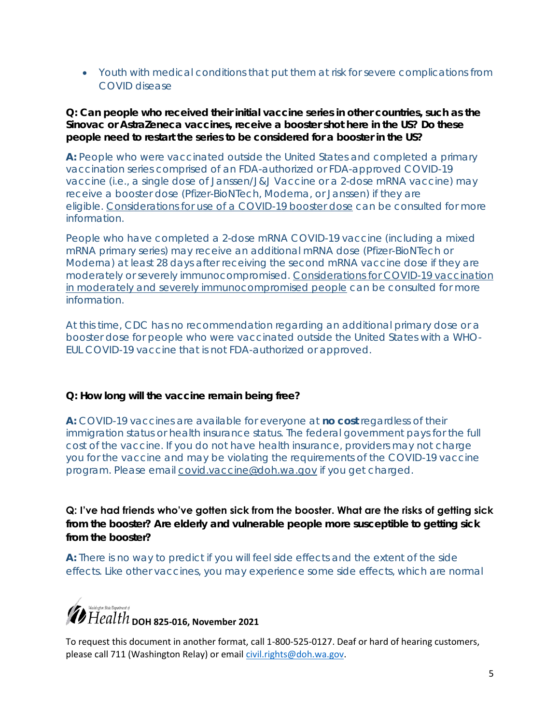Youth with medical conditions that put them at risk for severe complications from COVID disease

**Q: Can people who received their initial vaccine series in other countries, such as the Sinovac or AstraZeneca vaccines, receive a booster shot here in the US? Do these people need to restart the series to be considered for a booster in the US?** 

**A:** People who were vaccinated outside the United States and completed a primary vaccination series comprised of an FDA-authorized or FDA-approved COVID-19 vaccine (i.e., a single dose of Janssen/J&J Vaccine or a 2-dose mRNA vaccine) may receive a booster dose (Pfizer-BioNTech, Moderna, or Janssen) if they are eligible. [Considerations for use of a COVID-19 booster dose](https://gcc02.safelinks.protection.outlook.com/?url=https%3A%2F%2Fwww.cdc.gov%2Fvaccines%2Fcovid-19%2Fclinical-considerations%2Fcovid-19-vaccines-us.html%23considerations-covid19-vax-booster&data=04%7C01%7Cfathiya.abdi%40doh.wa.gov%7C43860ca903ab41d9b4a208d9a62110f2%7C11d0e217264e400a8ba057dcc127d72d%7C0%7C0%7C637723483208948517%7CUnknown%7CTWFpbGZsb3d8eyJWIjoiMC4wLjAwMDAiLCJQIjoiV2luMzIiLCJBTiI6Ik1haWwiLCJXVCI6Mn0%3D%7C1000&sdata=Ripqvg75aDzXv%2Bmm%2B3FjIY23ZJ0n7IovX2awyWmOrI4%3D&reserved=0) can be consulted for more information.

People who have completed a 2-dose mRNA COVID-19 vaccine (including a mixed mRNA primary series) may receive an additional mRNA dose (Pfizer-BioNTech or Moderna) at least 28 days after receiving the second mRNA vaccine dose if they are moderately or severely immunocompromised. [Considerations for COVID-19 vaccination](https://gcc02.safelinks.protection.outlook.com/?url=https%3A%2F%2Fwww.cdc.gov%2Fvaccines%2Fcovid-19%2Fclinical-considerations%2Fcovid-19-vaccines-us.html%23considerations-covid19-vax-immunocopromised&data=04%7C01%7Cfathiya.abdi%40doh.wa.gov%7C43860ca903ab41d9b4a208d9a62110f2%7C11d0e217264e400a8ba057dcc127d72d%7C0%7C0%7C637723483208948517%7CUnknown%7CTWFpbGZsb3d8eyJWIjoiMC4wLjAwMDAiLCJQIjoiV2luMzIiLCJBTiI6Ik1haWwiLCJXVCI6Mn0%3D%7C1000&sdata=JWKPEfkIrvvZvwSzrUWVwZ72gpG2Qqz8249Dy4Sx2lQ%3D&reserved=0)  [in moderately and severely immunocompromised people](https://gcc02.safelinks.protection.outlook.com/?url=https%3A%2F%2Fwww.cdc.gov%2Fvaccines%2Fcovid-19%2Fclinical-considerations%2Fcovid-19-vaccines-us.html%23considerations-covid19-vax-immunocopromised&data=04%7C01%7Cfathiya.abdi%40doh.wa.gov%7C43860ca903ab41d9b4a208d9a62110f2%7C11d0e217264e400a8ba057dcc127d72d%7C0%7C0%7C637723483208948517%7CUnknown%7CTWFpbGZsb3d8eyJWIjoiMC4wLjAwMDAiLCJQIjoiV2luMzIiLCJBTiI6Ik1haWwiLCJXVCI6Mn0%3D%7C1000&sdata=JWKPEfkIrvvZvwSzrUWVwZ72gpG2Qqz8249Dy4Sx2lQ%3D&reserved=0) can be consulted for more information.

At this time, CDC has no recommendation regarding an additional primary dose or a booster dose for people who were vaccinated outside the United States with a WHO-EUL COVID-19 vaccine that is not FDA-authorized or approved.

**Q: How long will the vaccine remain being free?** 

**A:** COVID-19 vaccines are available for everyone at **no cost** regardless of their immigration status or health insurance status. The federal government pays for the full cost of the vaccine. If you do not have health insurance, providers may not charge you for the vaccine and may be violating the requirements of the COVID-19 vaccine program. Please email [covid.vaccine@doh.wa.gov](mailto:covid.vaccine@doh.wa.gov) if you get charged.

**Q: I've had friends who've gotten sick from the booster. What are the risks of getting sick from the booster? Are elderly and vulnerable people more susceptible to getting sick from the booster?** 

**A:** There is no way to predict if you will feel side effects and the extent of the side effects. Like other vaccines, you may experience some side effects, which are normal

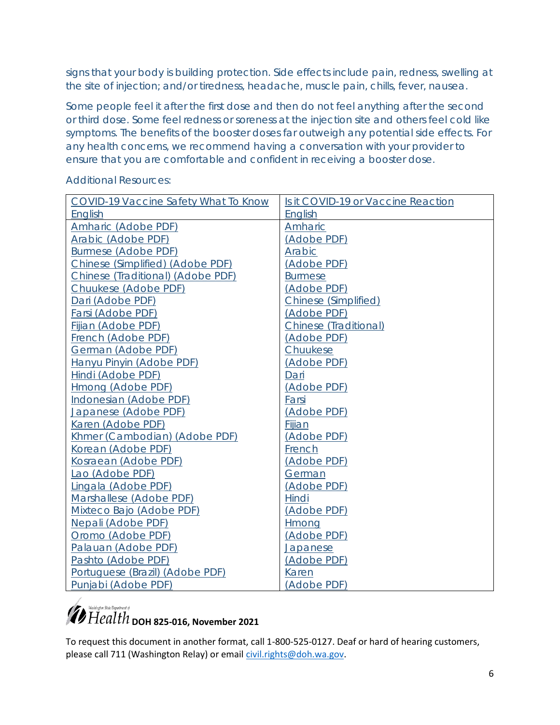signs that your body is building protection. Side effects include pain, redness, swelling at the site of injection; and/or tiredness, headache, muscle pain, chills, fever, nausea.

Some people feel it after the first dose and then do not feel anything after the second or third dose. Some feel redness or soreness at the injection site and others feel cold like symptoms. The benefits of the booster doses far outweigh any potential side effects. For any health concerns, we recommend having a conversation with your provider to ensure that you are comfortable and confident in receiving a booster dose.

| COVID-19 Vaccine Safety What To Know | Is it COVID-19 or Vaccine Reaction |
|--------------------------------------|------------------------------------|
| English                              | English                            |
| Amharic (Adobe PDF)                  | Amharic                            |
| Arabic (Adobe PDF)                   | (Adobe PDF)                        |
| Burmese (Adobe PDF)                  | Arabic                             |
| Chinese (Simplified) (Adobe PDF)     | (Adobe PDF)                        |
| Chinese (Traditional) (Adobe PDF)    | <b>Burmese</b>                     |
| Chuukese (Adobe PDF)                 | (Adobe PDF)                        |
| Dari (Adobe PDF)                     | Chinese (Simplified)               |
| Farsi (Adobe PDF)                    | (Adobe PDF)                        |
| Fijian (Adobe PDF)                   | Chinese (Traditional)              |
| <b>French (Adobe PDF)</b>            | (Adobe PDF)                        |
| German (Adobe PDF)                   | Chuukese                           |
| Hanyu Pinyin (Adobe PDF)             | (Adobe PDF)                        |
| Hindi (Adobe PDF)                    | Dari                               |
| Hmong (Adobe PDF)                    | (Adobe PDF)                        |
| Indonesian (Adobe PDF)               | Farsi                              |
| Japanese (Adobe PDF)                 | (Adobe PDF)                        |
| Karen (Adobe PDF)                    | Fijian                             |
| Khmer (Cambodian) (Adobe PDF)        | (Adobe PDF)                        |
| Korean (Adobe PDF)                   | French                             |
| Kosraean (Adobe PDF)                 | (Adobe PDF)                        |
| Lao (Adobe PDF)                      | German                             |
| Lingala (Adobe PDF)                  | (Adobe PDF)                        |
| Marshallese (Adobe PDF)              | Hindi                              |
| Mixteco Bajo (Adobe PDF)             | (Adobe PDF)                        |
| Nepali (Adobe PDF)                   | Hmong                              |
| Oromo (Adobe PDF)                    | (Adobe PDF)                        |
| Palauan (Adobe PDF)                  | Japanese                           |
| Pashto (Adobe PDF)                   | (Adobe PDF)                        |
| Portuguese (Brazil) (Adobe PDF)      | Karen                              |
| Punjabi (Adobe PDF)                  | (Adobe PDF)                        |

Additional Resources:

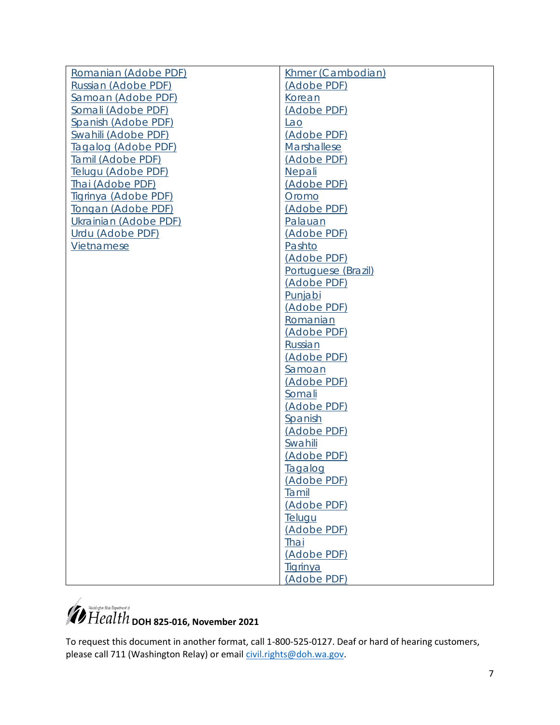| Romanian (Adobe PDF)  | Khmer (Cambodian)   |
|-----------------------|---------------------|
| Russian (Adobe PDF)   | (Adobe PDF)         |
| Samoan (Adobe PDF)    | Korean              |
| Somali (Adobe PDF)    | (Adobe PDF)         |
| Spanish (Adobe PDF)   | Lao                 |
| Swahili (Adobe PDF)   | (Adobe PDF)         |
| Tagalog (Adobe PDF)   | Marshallese         |
| Tamil (Adobe PDF)     | (Adobe PDF)         |
| Telugu (Adobe PDF)    | <b>Nepali</b>       |
| Thai (Adobe PDF)      | (Adobe PDF)         |
| Tigrinya (Adobe PDF)  | Oromo               |
| Tongan (Adobe PDF)    | (Adobe PDF)         |
| Ukrainian (Adobe PDF) | Palauan             |
| Urdu (Adobe PDF)      | (Adobe PDF)         |
| Vietnamese            | Pashto              |
|                       | (Adobe PDF)         |
|                       | Portuguese (Brazil) |
|                       | (Adobe PDF)         |
|                       | Punjabi             |
|                       | (Adobe PDF)         |
|                       | Romanian            |
|                       | (Adobe PDF)         |
|                       | Russian             |
|                       | (Adobe PDF)         |
|                       | Samoan              |
|                       | (Adobe PDF)         |
|                       | Somali              |
|                       | (Adobe PDF)         |
|                       | Spanish             |
|                       | (Adobe PDF)         |
|                       | Swahili             |
|                       | (Adobe PDF)         |
|                       | Tagalog             |
|                       | (Adobe PDF)         |
|                       | Tamil               |
|                       | (Adobe PDF)         |
|                       | Telugu              |
|                       | (Adobe PDF)         |
|                       | Thai                |
|                       | (Adobe PDF)         |
|                       | <b>Tigrinya</b>     |
|                       | (Adobe PDF)         |
|                       |                     |

# *D Health* <sub>DOH</sub> 825-016, November 2021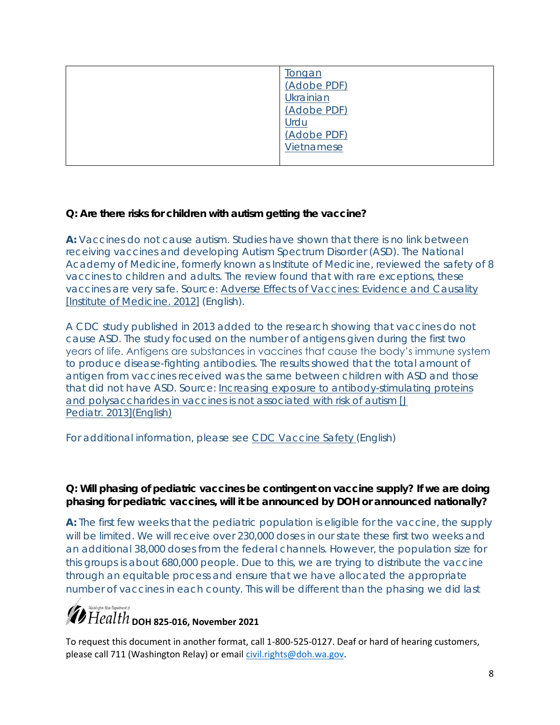| ongan       |
|-------------|
| (Adobe PDF) |
| Ukrainian   |
| (Adobe PDF) |
| Urdu        |
| (Adobe PDF) |
| Vietnamese  |
|             |

**Q: Are there risks for children with autism getting the vaccine?** 

**A:** Vaccines do not cause autism. Studies have shown that there is no link between receiving vaccines and developing Autism Spectrum Disorder (ASD). The National Academy of Medicine, formerly known as Institute of Medicine, reviewed the safety of 8 vaccines to children and adults. The review found that with rare exceptions, these vaccines are very safe. Source: [Adverse Effects of Vaccines: Evidence and Causality](https://www.nap.edu/catalog/13164/adverse-effects-of-vaccines-evidence-and-causality)  [\[Institute of Medicine. 2012\]](https://www.nap.edu/catalog/13164/adverse-effects-of-vaccines-evidence-and-causality) (English).

A CDC study published in 2013 added to the research showing that vaccines do not cause ASD. The study focused on the number of antigens given during the first two years of life. Antigens are substances in vaccines that cause the body's immune system to produce disease-fighting antibodies. The results showed that the total amount of antigen from vaccines received was the same between children with ASD and those that did not have ASD. Source: [Increasing exposure to antibody-stimulating proteins](https://pubmed.ncbi.nlm.nih.gov/23545349/)  [and polysaccharides in vaccines is not associated with risk of autism \[](https://pubmed.ncbi.nlm.nih.gov/23545349/)*J Pediatr.* [2013\]\(English\)](https://pubmed.ncbi.nlm.nih.gov/23545349/)

For additional information, please see [CDC Vaccine Safety \(](https://www.cdc.gov/vaccinesafety/concerns/autism.html)English)

**Q: Will phasing of pediatric vaccines be contingent on vaccine supply? If we are doing phasing for pediatric vaccines, will it be announced by DOH or announced nationally?** 

**A:** The first few weeks that the pediatric population is eligible for the vaccine, the supply will be limited. We will receive over 230,000 doses in our state these first two weeks and an additional 38,000 doses from the federal channels. However, the population size for this groups is about 680,000 people. Due to this, we are trying to distribute the vaccine through an equitable process and ensure that we have allocated the appropriate number of vaccines in each county. This will be different than the phasing we did last

### **D** Health <sub>DOH</sub> 825-016, November 2021